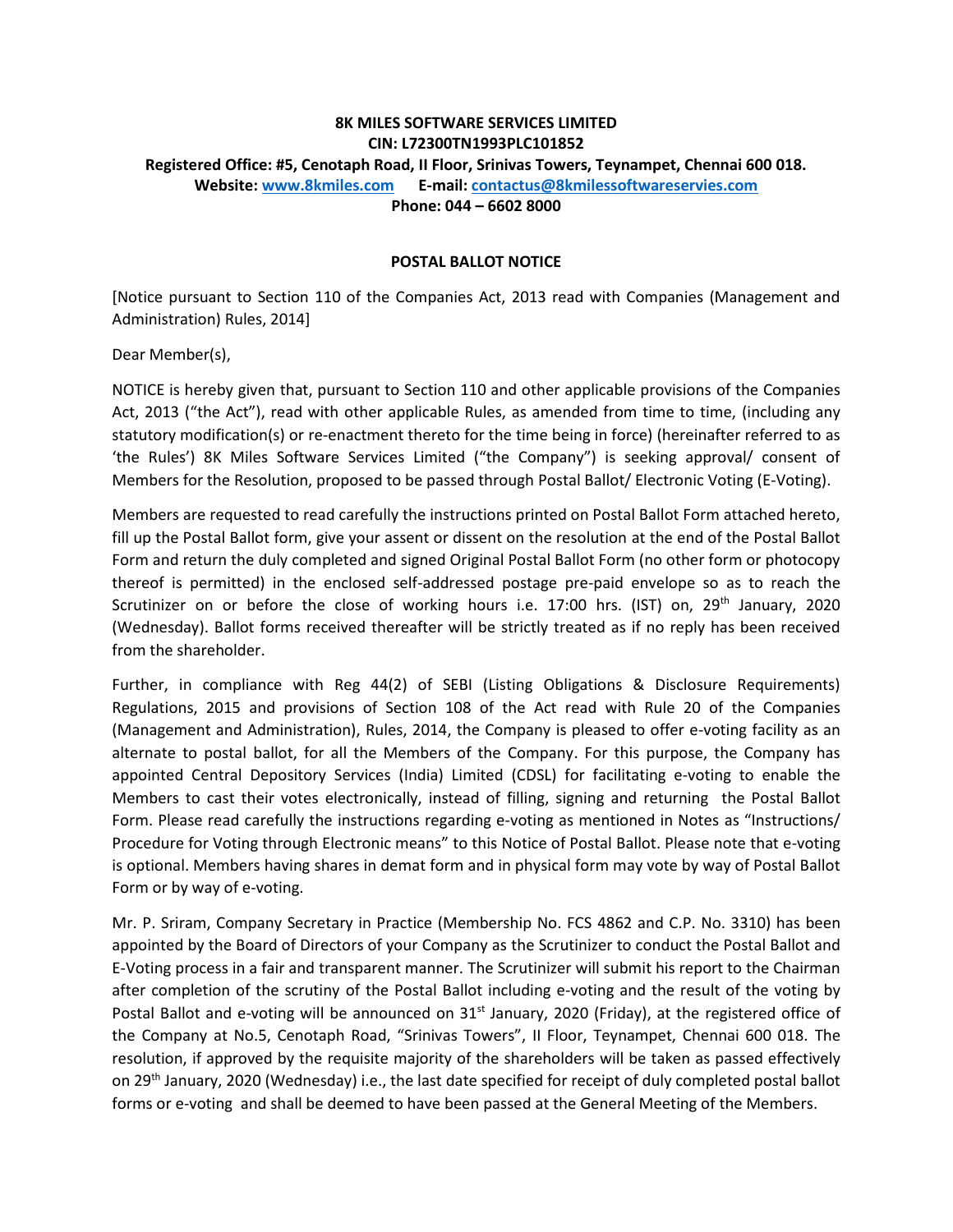# **8K MILES SOFTWARE SERVICES LIMITED CIN: L72300TN1993PLC101852 Registered Office: #5, Cenotaph Road, II Floor, Srinivas Towers, Teynampet, Chennai 600 018. Website: [www.8kmiles.com](http://www.8kmiles.com/) E-mail: [contactus@8kmilessoftwareservies.com](mailto:contactus@8kmilessoftwareservies.com) Phone: 044 – 6602 8000**

#### **POSTAL BALLOT NOTICE**

[Notice pursuant to Section 110 of the Companies Act, 2013 read with Companies (Management and Administration) Rules, 2014]

Dear Member(s),

NOTICE is hereby given that, pursuant to Section 110 and other applicable provisions of the Companies Act, 2013 ("the Act"), read with other applicable Rules, as amended from time to time, (including any statutory modification(s) or re-enactment thereto for the time being in force) (hereinafter referred to as 'the Rules') 8K Miles Software Services Limited ("the Company") is seeking approval/ consent of Members for the Resolution, proposed to be passed through Postal Ballot/ Electronic Voting (E-Voting).

Members are requested to read carefully the instructions printed on Postal Ballot Form attached hereto, fill up the Postal Ballot form, give your assent or dissent on the resolution at the end of the Postal Ballot Form and return the duly completed and signed Original Postal Ballot Form (no other form or photocopy thereof is permitted) in the enclosed self-addressed postage pre-paid envelope so as to reach the Scrutinizer on or before the close of working hours i.e. 17:00 hrs. (IST) on,  $29<sup>th</sup>$  January, 2020 (Wednesday). Ballot forms received thereafter will be strictly treated as if no reply has been received from the shareholder.

Further, in compliance with Reg 44(2) of SEBI (Listing Obligations & Disclosure Requirements) Regulations, 2015 and provisions of Section 108 of the Act read with Rule 20 of the Companies (Management and Administration), Rules, 2014, the Company is pleased to offer e-voting facility as an alternate to postal ballot, for all the Members of the Company. For this purpose, the Company has appointed Central Depository Services (India) Limited (CDSL) for facilitating e-voting to enable the Members to cast their votes electronically, instead of filling, signing and returning the Postal Ballot Form. Please read carefully the instructions regarding e-voting as mentioned in Notes as "Instructions/ Procedure for Voting through Electronic means" to this Notice of Postal Ballot. Please note that e-voting is optional. Members having shares in demat form and in physical form may vote by way of Postal Ballot Form or by way of e-voting.

Mr. P. Sriram, Company Secretary in Practice (Membership No. FCS 4862 and C.P. No. 3310) has been appointed by the Board of Directors of your Company as the Scrutinizer to conduct the Postal Ballot and E-Voting process in a fair and transparent manner. The Scrutinizer will submit his report to the Chairman after completion of the scrutiny of the Postal Ballot including e-voting and the result of the voting by Postal Ballot and e-voting will be announced on  $31<sup>st</sup>$  January, 2020 (Friday), at the registered office of the Company at No.5, Cenotaph Road, "Srinivas Towers", II Floor, Teynampet, Chennai 600 018. The resolution, if approved by the requisite majority of the shareholders will be taken as passed effectively on 29<sup>th</sup> January, 2020 (Wednesday) i.e., the last date specified for receipt of duly completed postal ballot forms or e-voting and shall be deemed to have been passed at the General Meeting of the Members.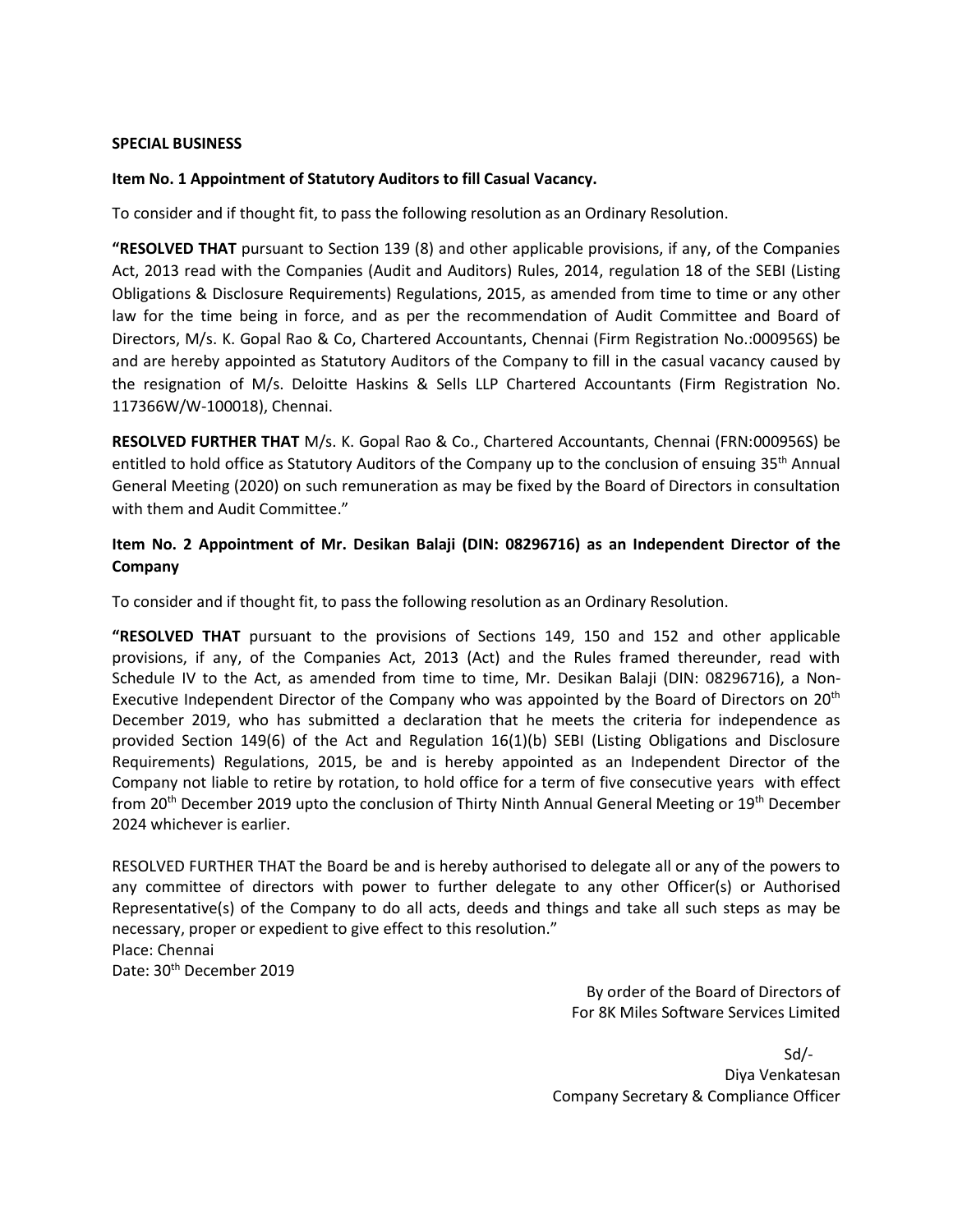#### **SPECIAL BUSINESS**

### **Item No. 1 Appointment of Statutory Auditors to fill Casual Vacancy.**

To consider and if thought fit, to pass the following resolution as an Ordinary Resolution.

**"RESOLVED THAT** pursuant to Section 139 (8) and other applicable provisions, if any, of the Companies Act, 2013 read with the Companies (Audit and Auditors) Rules, 2014, regulation 18 of the SEBI (Listing Obligations & Disclosure Requirements) Regulations, 2015, as amended from time to time or any other law for the time being in force, and as per the recommendation of Audit Committee and Board of Directors, M/s. K. Gopal Rao & Co, Chartered Accountants, Chennai (Firm Registration No.:000956S) be and are hereby appointed as Statutory Auditors of the Company to fill in the casual vacancy caused by the resignation of M/s. Deloitte Haskins & Sells LLP Chartered Accountants (Firm Registration No. 117366W/W-100018), Chennai.

**RESOLVED FURTHER THAT** M/s. K. Gopal Rao & Co., Chartered Accountants, Chennai (FRN:000956S) be entitled to hold office as Statutory Auditors of the Company up to the conclusion of ensuing 35<sup>th</sup> Annual General Meeting (2020) on such remuneration as may be fixed by the Board of Directors in consultation with them and Audit Committee."

## **Item No. 2 Appointment of Mr. Desikan Balaji (DIN: 08296716) as an Independent Director of the Company**

To consider and if thought fit, to pass the following resolution as an Ordinary Resolution.

**"RESOLVED THAT** pursuant to the provisions of Sections 149, 150 and 152 and other applicable provisions, if any, of the Companies Act, 2013 (Act) and the Rules framed thereunder, read with Schedule IV to the Act, as amended from time to time, Mr. Desikan Balaji (DIN: 08296716), a Non-Executive Independent Director of the Company who was appointed by the Board of Directors on 20<sup>th</sup> December 2019, who has submitted a declaration that he meets the criteria for independence as provided Section 149(6) of the Act and Regulation 16(1)(b) SEBI (Listing Obligations and Disclosure Requirements) Regulations, 2015, be and is hereby appointed as an Independent Director of the Company not liable to retire by rotation, to hold office for a term of five consecutive years with effect from 20<sup>th</sup> December 2019 upto the conclusion of Thirty Ninth Annual General Meeting or 19<sup>th</sup> December 2024 whichever is earlier.

RESOLVED FURTHER THAT the Board be and is hereby authorised to delegate all or any of the powers to any committee of directors with power to further delegate to any other Officer(s) or Authorised Representative(s) of the Company to do all acts, deeds and things and take all such steps as may be necessary, proper or expedient to give effect to this resolution." Place: Chennai Date: 30<sup>th</sup> December 2019

> By order of the Board of Directors of For 8K Miles Software Services Limited

Sd/- Diya Venkatesan Company Secretary & Compliance Officer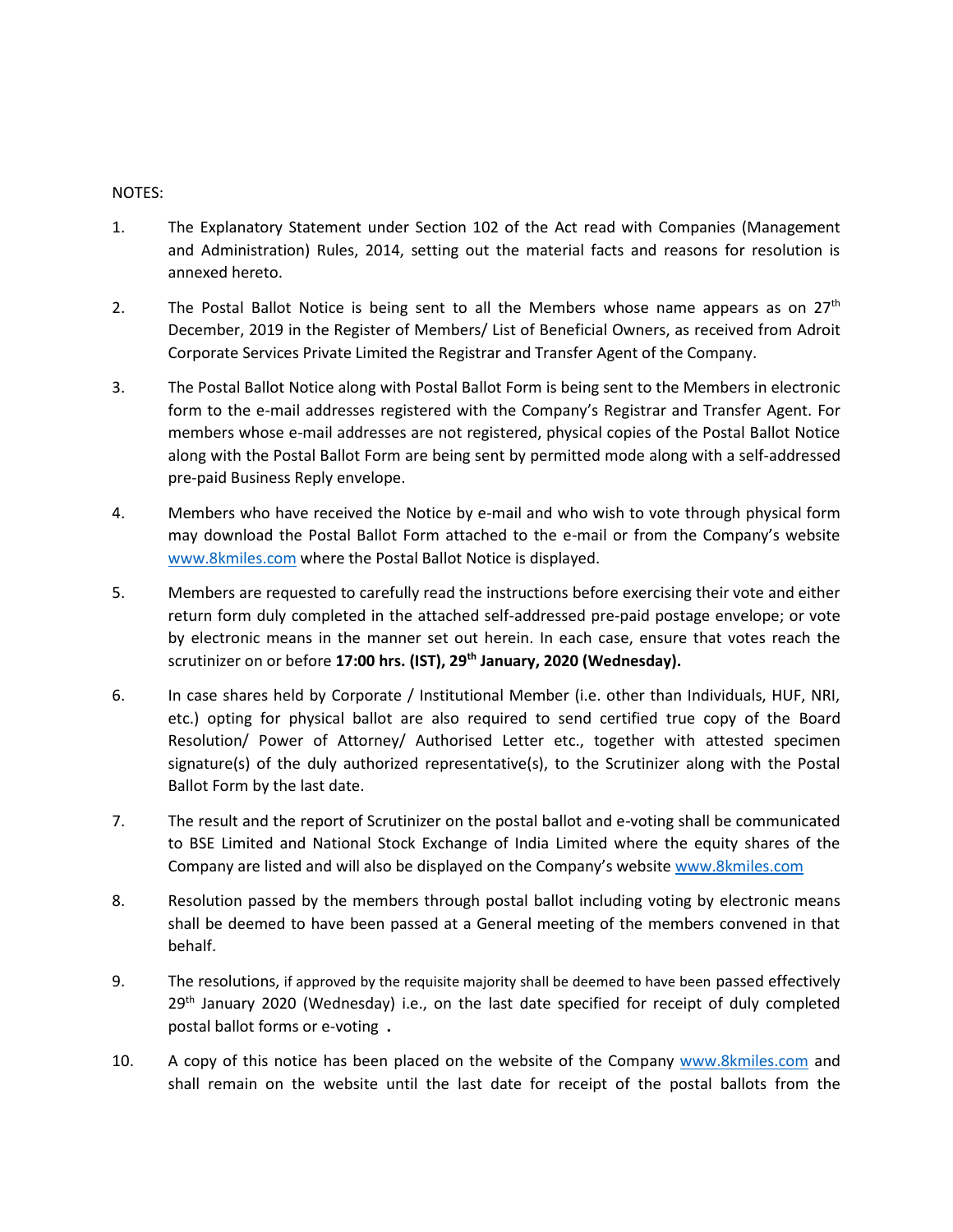#### NOTES:

- 1. The Explanatory Statement under Section 102 of the Act read with Companies (Management and Administration) Rules, 2014, setting out the material facts and reasons for resolution is annexed hereto.
- 2. The Postal Ballot Notice is being sent to all the Members whose name appears as on  $27<sup>th</sup>$ December, 2019 in the Register of Members/ List of Beneficial Owners, as received from Adroit Corporate Services Private Limited the Registrar and Transfer Agent of the Company.
- 3. The Postal Ballot Notice along with Postal Ballot Form is being sent to the Members in electronic form to the e-mail addresses registered with the Company's Registrar and Transfer Agent. For members whose e-mail addresses are not registered, physical copies of the Postal Ballot Notice along with the Postal Ballot Form are being sent by permitted mode along with a self-addressed pre-paid Business Reply envelope.
- 4. Members who have received the Notice by e-mail and who wish to vote through physical form may download the Postal Ballot Form attached to the e-mail or from the Company's website [www.8kmiles.com](http://www.8kmiles.com/) where the Postal Ballot Notice is displayed.
- 5. Members are requested to carefully read the instructions before exercising their vote and either return form duly completed in the attached self-addressed pre-paid postage envelope; or vote by electronic means in the manner set out herein. In each case, ensure that votes reach the scrutinizer on or before **17:00 hrs. (IST), 29th January, 2020 (Wednesday).**
- 6. In case shares held by Corporate / Institutional Member (i.e. other than Individuals, HUF, NRI, etc.) opting for physical ballot are also required to send certified true copy of the Board Resolution/ Power of Attorney/ Authorised Letter etc., together with attested specimen signature(s) of the duly authorized representative(s), to the Scrutinizer along with the Postal Ballot Form by the last date.
- 7. The result and the report of Scrutinizer on the postal ballot and e-voting shall be communicated to BSE Limited and National Stock Exchange of India Limited where the equity shares of the Company are listed and will also be displayed on the Company's websit[e www.8kmiles.com](http://www.8kmiles.com/)
- 8. Resolution passed by the members through postal ballot including voting by electronic means shall be deemed to have been passed at a General meeting of the members convened in that behalf.
- 9. The resolutions, if approved by the requisite majority shall be deemed to have been passed effectively  $29<sup>th</sup>$  January 2020 (Wednesday) i.e., on the last date specified for receipt of duly completed postal ballot forms or e-voting **.**
- 10. A copy of this notice has been placed on the website of the Company [www.8kmiles.com](http://www.8kmiles.com/) and shall remain on the website until the last date for receipt of the postal ballots from the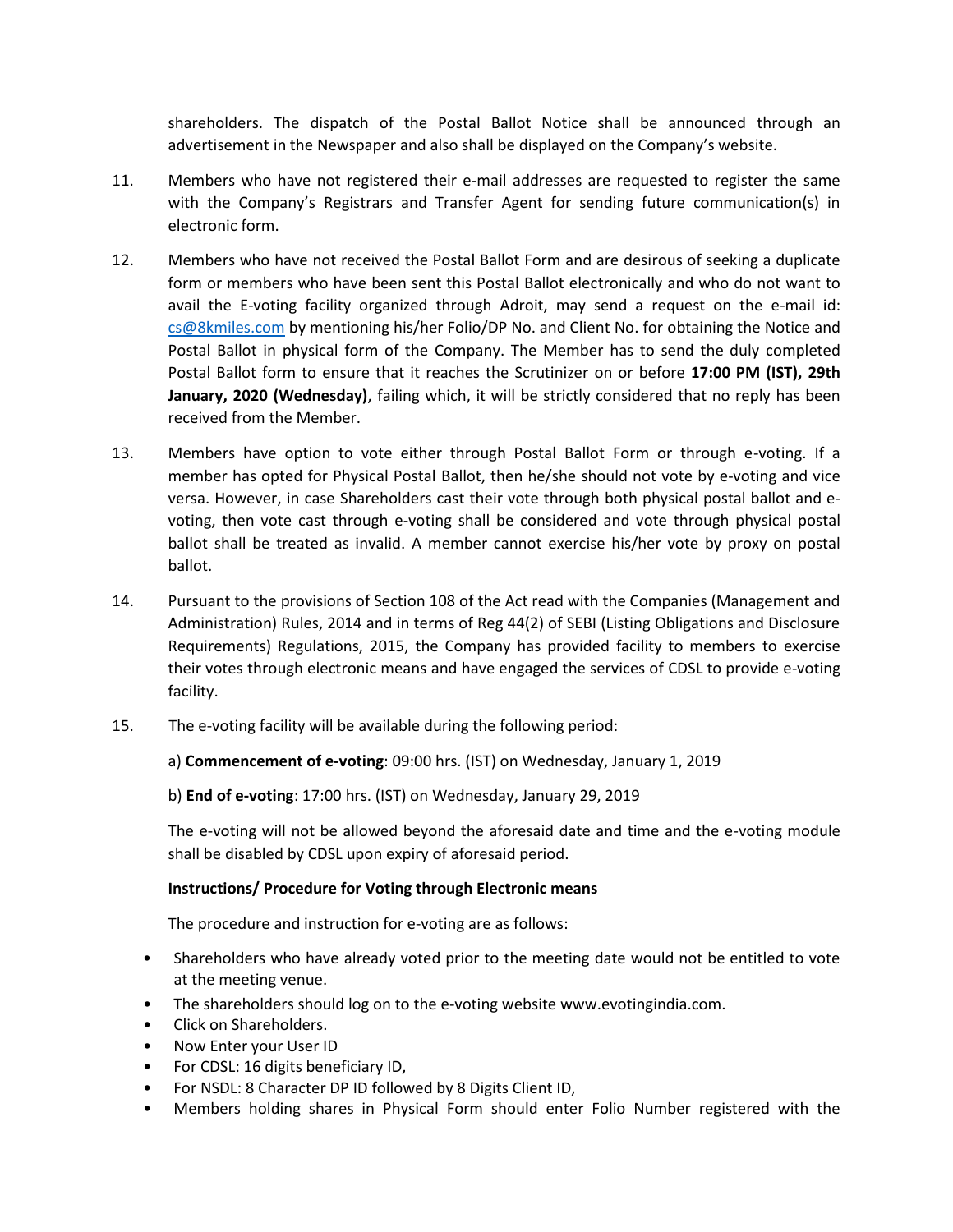shareholders. The dispatch of the Postal Ballot Notice shall be announced through an advertisement in the Newspaper and also shall be displayed on the Company's website.

- 11. Members who have not registered their e-mail addresses are requested to register the same with the Company's Registrars and Transfer Agent for sending future communication(s) in electronic form.
- 12. Members who have not received the Postal Ballot Form and are desirous of seeking a duplicate form or members who have been sent this Postal Ballot electronically and who do not want to avail the E-voting facility organized through Adroit, may send a request on the e-mail id: [cs@8kmiles.com](mailto:cs@8kmiles.com) by mentioning his/her Folio/DP No. and Client No. for obtaining the Notice and Postal Ballot in physical form of the Company. The Member has to send the duly completed Postal Ballot form to ensure that it reaches the Scrutinizer on or before **17:00 PM (IST), 29th January, 2020 (Wednesday)**, failing which, it will be strictly considered that no reply has been received from the Member.
- 13. Members have option to vote either through Postal Ballot Form or through e-voting. If a member has opted for Physical Postal Ballot, then he/she should not vote by e-voting and vice versa. However, in case Shareholders cast their vote through both physical postal ballot and evoting, then vote cast through e-voting shall be considered and vote through physical postal ballot shall be treated as invalid. A member cannot exercise his/her vote by proxy on postal ballot.
- 14. Pursuant to the provisions of Section 108 of the Act read with the Companies (Management and Administration) Rules, 2014 and in terms of Reg 44(2) of SEBI (Listing Obligations and Disclosure Requirements) Regulations, 2015, the Company has provided facility to members to exercise their votes through electronic means and have engaged the services of CDSL to provide e-voting facility.
- 15. The e-voting facility will be available during the following period:

a) **Commencement of e-voting**: 09:00 hrs. (IST) on Wednesday, January 1, 2019

b) **End of e-voting**: 17:00 hrs. (IST) on Wednesday, January 29, 2019

The e-voting will not be allowed beyond the aforesaid date and time and the e-voting module shall be disabled by CDSL upon expiry of aforesaid period.

## **Instructions/ Procedure for Voting through Electronic means**

The procedure and instruction for e-voting are as follows:

- Shareholders who have already voted prior to the meeting date would not be entitled to vote at the meeting venue.
- The shareholders should log on to the e-voting website www.evotingindia.com.
- Click on Shareholders.
- Now Enter your User ID
- For CDSL: 16 digits beneficiary ID,
- For NSDL: 8 Character DP ID followed by 8 Digits Client ID,
- Members holding shares in Physical Form should enter Folio Number registered with the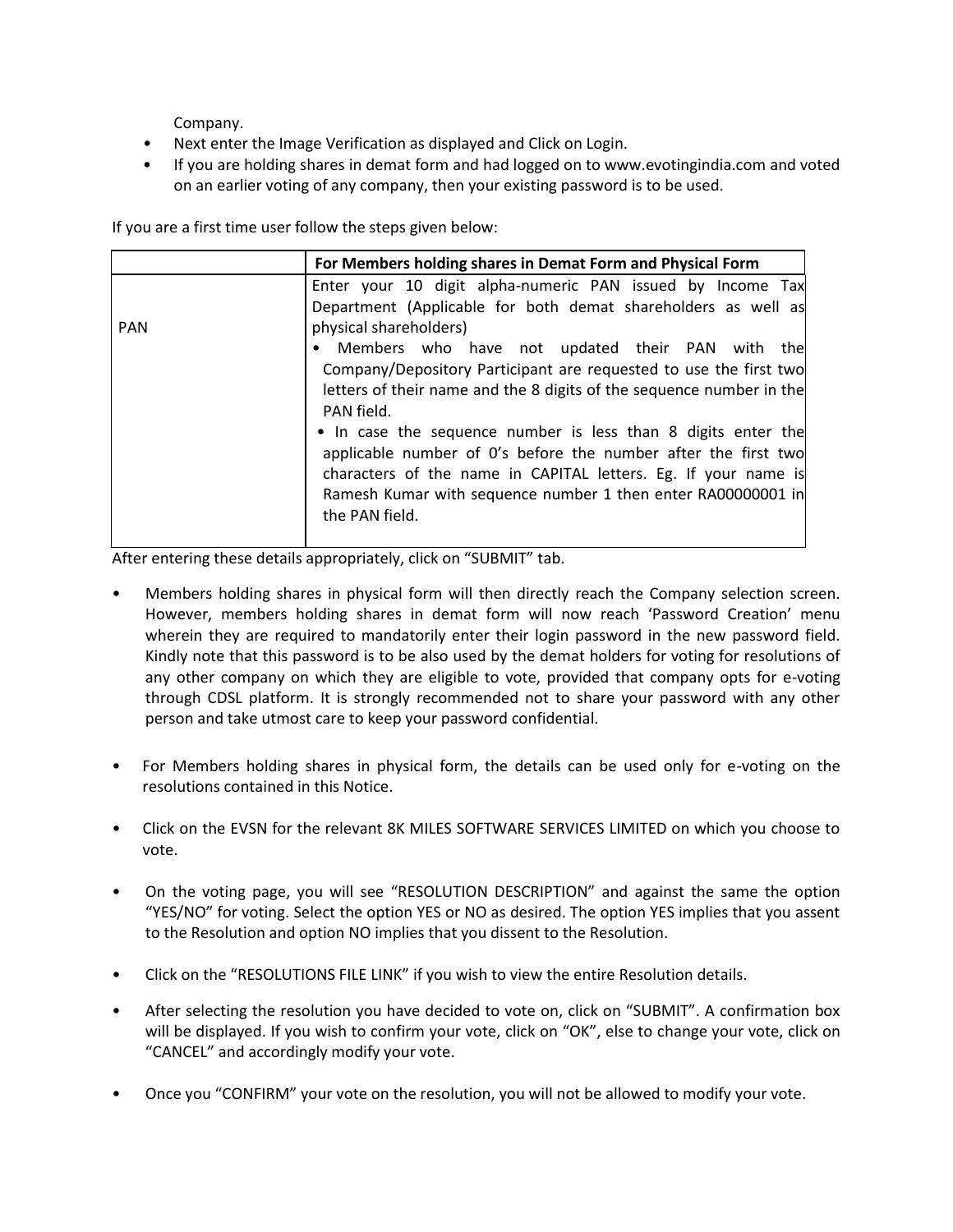Company.

- Next enter the Image Verification as displayed and Click on Login.
- If you are holding shares in demat form and had logged on to www.evotingindia.com and voted on an earlier voting of any company, then your existing password is to be used.

If you are a first time user follow the steps given below:

|            | For Members holding shares in Demat Form and Physical Form                         |  |  |
|------------|------------------------------------------------------------------------------------|--|--|
|            | Enter your 10 digit alpha-numeric PAN issued by Income Tax                         |  |  |
|            | Department (Applicable for both demat shareholders as well as                      |  |  |
| <b>PAN</b> | physical shareholders)                                                             |  |  |
|            | • Members who have not updated their PAN with the                                  |  |  |
|            | Company/Depository Participant are requested to use the first two                  |  |  |
|            | letters of their name and the 8 digits of the sequence number in the<br>PAN field. |  |  |
|            | • In case the sequence number is less than 8 digits enter the                      |  |  |
|            | applicable number of 0's before the number after the first two                     |  |  |
|            | characters of the name in CAPITAL letters. Eg. If your name is                     |  |  |
|            | Ramesh Kumar with sequence number 1 then enter RA00000001 in<br>the PAN field.     |  |  |
|            |                                                                                    |  |  |

After entering these details appropriately, click on "SUBMIT" tab.

- Members holding shares in physical form will then directly reach the Company selection screen. However, members holding shares in demat form will now reach 'Password Creation' menu wherein they are required to mandatorily enter their login password in the new password field. Kindly note that this password is to be also used by the demat holders for voting for resolutions of any other company on which they are eligible to vote, provided that company opts for e-voting through CDSL platform. It is strongly recommended not to share your password with any other person and take utmost care to keep your password confidential.
- For Members holding shares in physical form, the details can be used only for e-voting on the resolutions contained in this Notice.
- Click on the EVSN for the relevant 8K MILES SOFTWARE SERVICES LIMITED on which you choose to vote.
- On the voting page, you will see "RESOLUTION DESCRIPTION" and against the same the option "YES/NO" for voting. Select the option YES or NO as desired. The option YES implies that you assent to the Resolution and option NO implies that you dissent to the Resolution.
- Click on the "RESOLUTIONS FILE LINK" if you wish to view the entire Resolution details.
- After selecting the resolution you have decided to vote on, click on "SUBMIT". A confirmation box will be displayed. If you wish to confirm your vote, click on "OK", else to change your vote, click on "CANCEL" and accordingly modify your vote.
- Once you "CONFIRM" your vote on the resolution, you will not be allowed to modify your vote.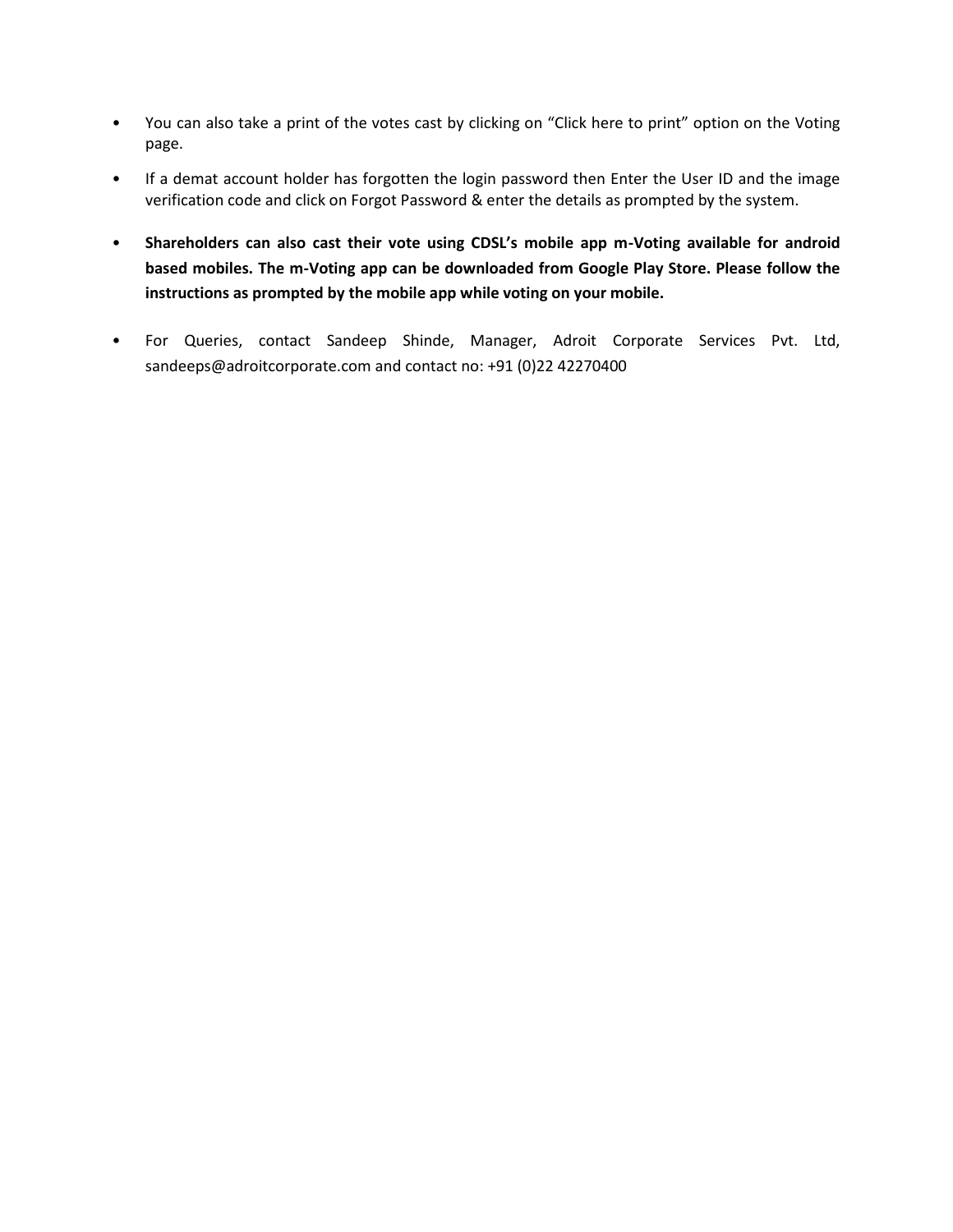- You can also take a print of the votes cast by clicking on "Click here to print" option on the Voting page.
- If a demat account holder has forgotten the login password then Enter the User ID and the image verification code and click on Forgot Password & enter the details as prompted by the system.
- **Shareholders can also cast their vote using CDSL's mobile app m-Voting available for android based mobiles. The m-Voting app can be downloaded from Google Play Store. Please follow the instructions as prompted by the mobile app while voting on your mobile.**
- For Queries, contact Sandeep Shinde, Manager, Adroit Corporate Services Pvt. Ltd, sandeeps@adroitcorporate.com and contact no: +91 (0)22 42270400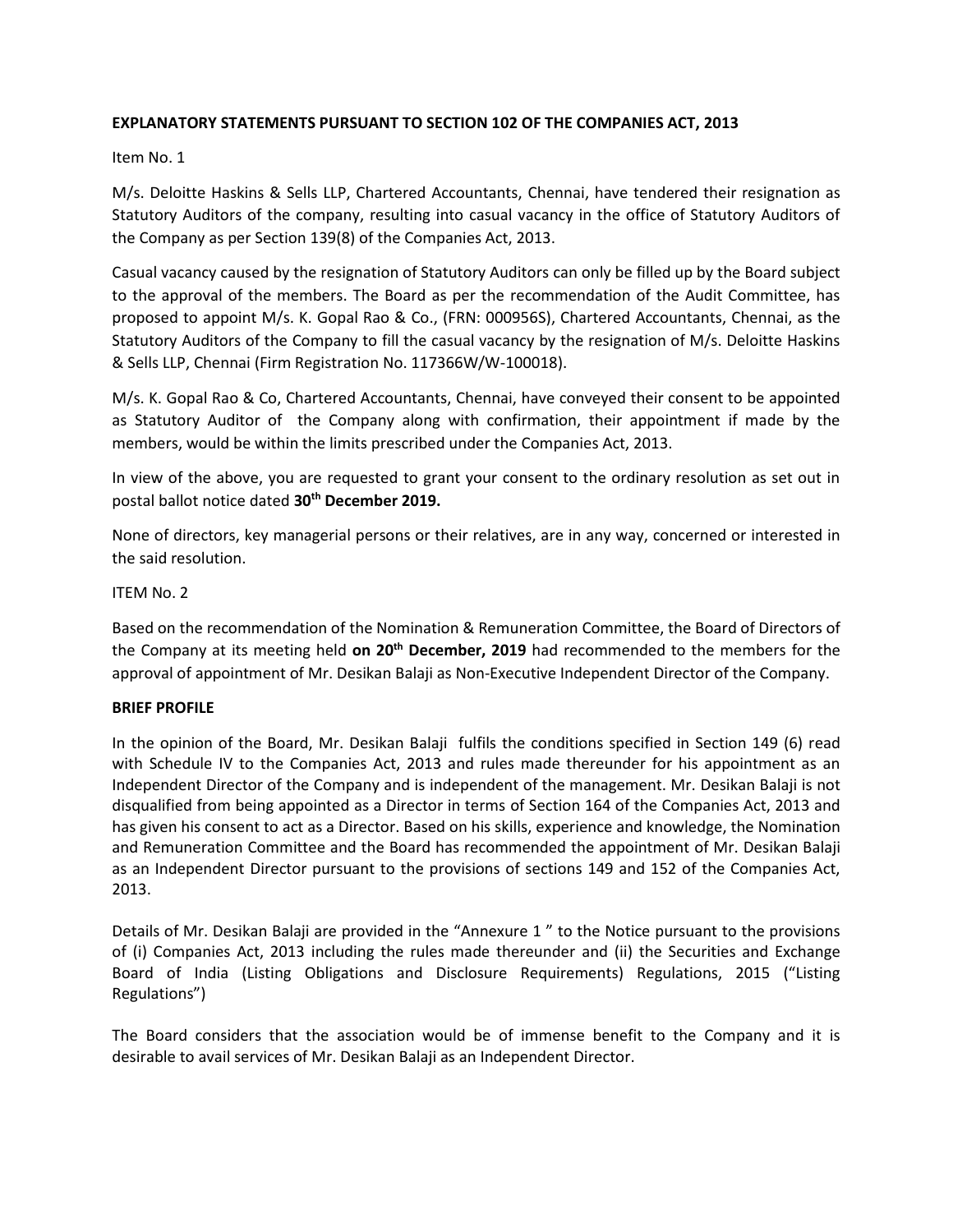## **EXPLANATORY STATEMENTS PURSUANT TO SECTION 102 OF THE COMPANIES ACT, 2013**

## Item No. 1

M/s. Deloitte Haskins & Sells LLP, Chartered Accountants, Chennai, have tendered their resignation as Statutory Auditors of the company, resulting into casual vacancy in the office of Statutory Auditors of the Company as per Section 139(8) of the Companies Act, 2013.

Casual vacancy caused by the resignation of Statutory Auditors can only be filled up by the Board subject to the approval of the members. The Board as per the recommendation of the Audit Committee, has proposed to appoint M/s. K. Gopal Rao & Co., (FRN: 000956S), Chartered Accountants, Chennai, as the Statutory Auditors of the Company to fill the casual vacancy by the resignation of M/s. Deloitte Haskins & Sells LLP, Chennai (Firm Registration No. 117366W/W-100018).

M/s. K. Gopal Rao & Co, Chartered Accountants, Chennai, have conveyed their consent to be appointed as Statutory Auditor of the Company along with confirmation, their appointment if made by the members, would be within the limits prescribed under the Companies Act, 2013.

In view of the above, you are requested to grant your consent to the ordinary resolution as set out in postal ballot notice dated **30th December 2019.**

None of directors, key managerial persons or their relatives, are in any way, concerned or interested in the said resolution.

## ITEM No. 2

Based on the recommendation of the Nomination & Remuneration Committee, the Board of Directors of the Company at its meeting held **on 20th December, 2019** had recommended to the members for the approval of appointment of Mr. Desikan Balaji as Non-Executive Independent Director of the Company.

## **BRIEF PROFILE**

In the opinion of the Board, Mr. Desikan Balaji fulfils the conditions specified in Section 149 (6) read with Schedule IV to the Companies Act, 2013 and rules made thereunder for his appointment as an Independent Director of the Company and is independent of the management. Mr. Desikan Balaji is not disqualified from being appointed as a Director in terms of Section 164 of the Companies Act, 2013 and has given his consent to act as a Director. Based on his skills, experience and knowledge, the Nomination and Remuneration Committee and the Board has recommended the appointment of Mr. Desikan Balaji as an Independent Director pursuant to the provisions of sections 149 and 152 of the Companies Act, 2013.

Details of Mr. Desikan Balaji are provided in the "Annexure 1 " to the Notice pursuant to the provisions of (i) Companies Act, 2013 including the rules made thereunder and (ii) the Securities and Exchange Board of India (Listing Obligations and Disclosure Requirements) Regulations, 2015 ("Listing Regulations")

The Board considers that the association would be of immense benefit to the Company and it is desirable to avail services of Mr. Desikan Balaji as an Independent Director.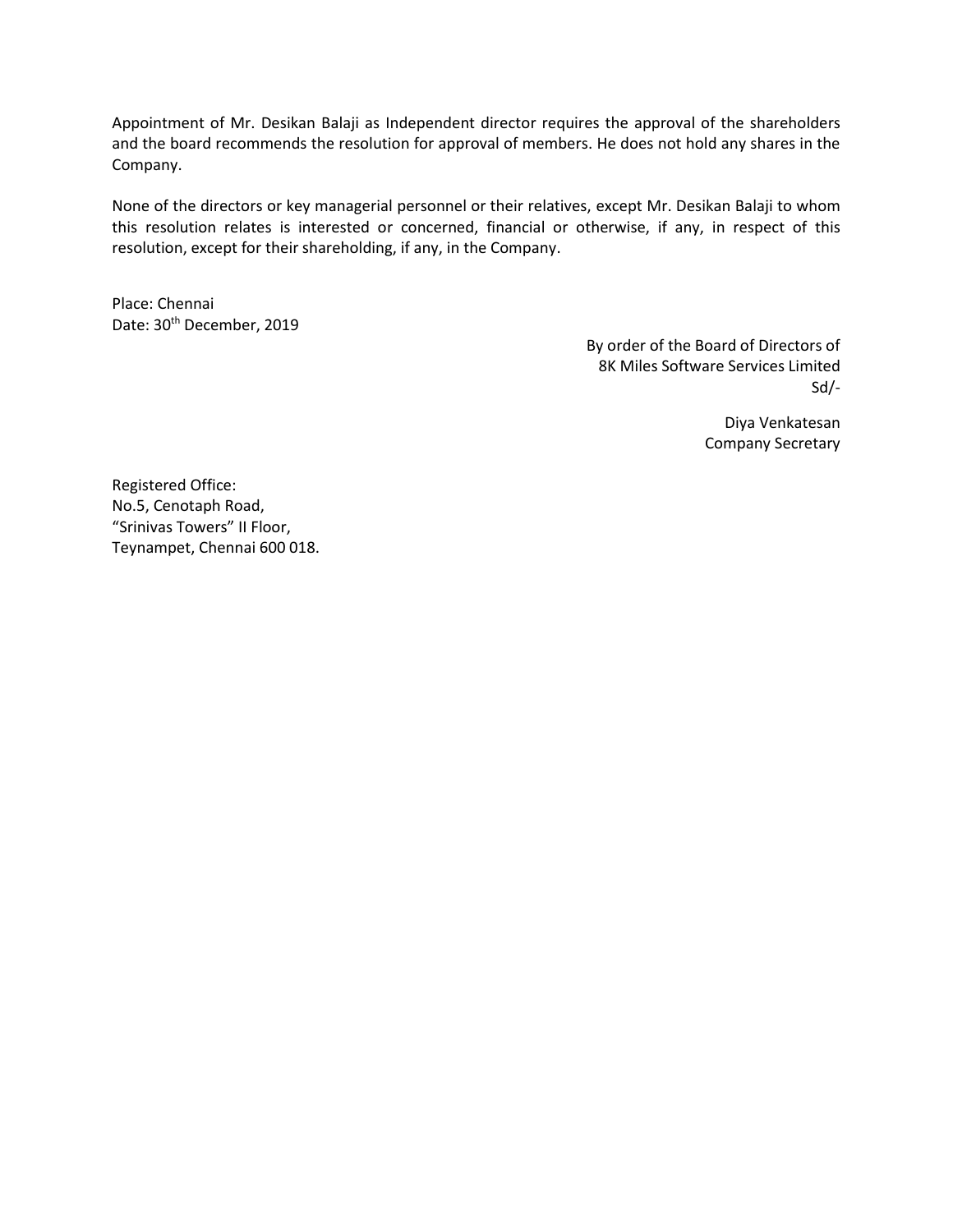Appointment of Mr. Desikan Balaji as Independent director requires the approval of the shareholders and the board recommends the resolution for approval of members. He does not hold any shares in the Company.

None of the directors or key managerial personnel or their relatives, except Mr. Desikan Balaji to whom this resolution relates is interested or concerned, financial or otherwise, if any, in respect of this resolution, except for their shareholding, if any, in the Company.

Place: Chennai Date: 30<sup>th</sup> December, 2019

> By order of the Board of Directors of 8K Miles Software Services Limited Sd/-

> > Diya Venkatesan Company Secretary

Registered Office: No.5, Cenotaph Road, "Srinivas Towers" II Floor, Teynampet, Chennai 600 018.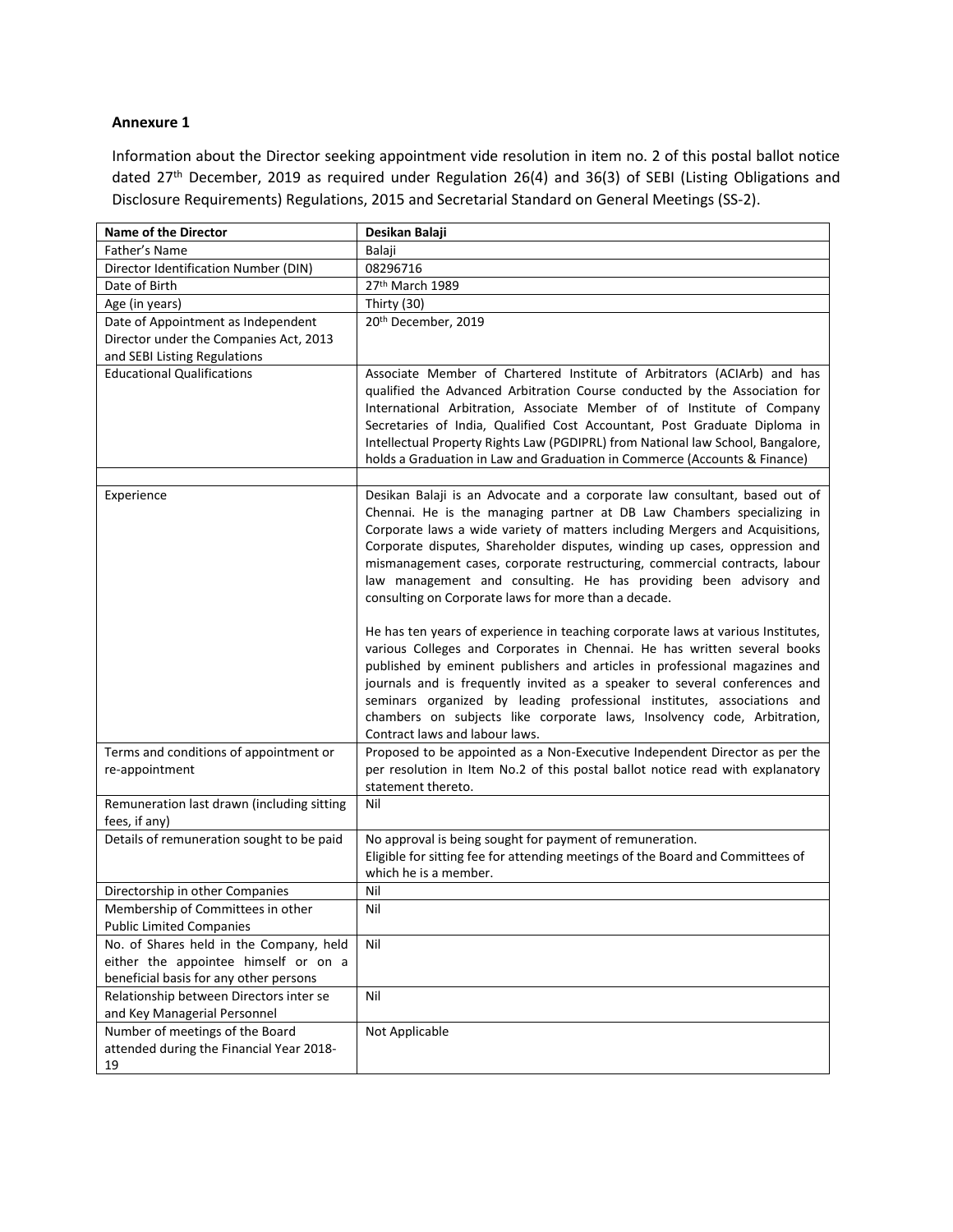#### **Annexure 1**

Information about the Director seeking appointment vide resolution in item no. 2 of this postal ballot notice dated 27th December, 2019 as required under Regulation 26(4) and 36(3) of SEBI (Listing Obligations and Disclosure Requirements) Regulations, 2015 and Secretarial Standard on General Meetings (SS-2).

| <b>Name of the Director</b>                                                                                               | Desikan Balaji                                                                                                                                                                                                                                                                                                                                                                                                                                                                                                                |  |  |
|---------------------------------------------------------------------------------------------------------------------------|-------------------------------------------------------------------------------------------------------------------------------------------------------------------------------------------------------------------------------------------------------------------------------------------------------------------------------------------------------------------------------------------------------------------------------------------------------------------------------------------------------------------------------|--|--|
| Father's Name                                                                                                             | Balaji                                                                                                                                                                                                                                                                                                                                                                                                                                                                                                                        |  |  |
| Director Identification Number (DIN)                                                                                      | 08296716                                                                                                                                                                                                                                                                                                                                                                                                                                                                                                                      |  |  |
| Date of Birth                                                                                                             | 27th March 1989                                                                                                                                                                                                                                                                                                                                                                                                                                                                                                               |  |  |
| Age (in years)                                                                                                            | Thirty (30)                                                                                                                                                                                                                                                                                                                                                                                                                                                                                                                   |  |  |
| Date of Appointment as Independent                                                                                        | 20th December, 2019                                                                                                                                                                                                                                                                                                                                                                                                                                                                                                           |  |  |
| Director under the Companies Act, 2013                                                                                    |                                                                                                                                                                                                                                                                                                                                                                                                                                                                                                                               |  |  |
| and SEBI Listing Regulations                                                                                              |                                                                                                                                                                                                                                                                                                                                                                                                                                                                                                                               |  |  |
| <b>Educational Qualifications</b>                                                                                         | Associate Member of Chartered Institute of Arbitrators (ACIArb) and has<br>qualified the Advanced Arbitration Course conducted by the Association for<br>International Arbitration, Associate Member of of Institute of Company<br>Secretaries of India, Qualified Cost Accountant, Post Graduate Diploma in<br>Intellectual Property Rights Law (PGDIPRL) from National law School, Bangalore,<br>holds a Graduation in Law and Graduation in Commerce (Accounts & Finance)                                                  |  |  |
|                                                                                                                           |                                                                                                                                                                                                                                                                                                                                                                                                                                                                                                                               |  |  |
| Experience                                                                                                                | Desikan Balaji is an Advocate and a corporate law consultant, based out of<br>Chennai. He is the managing partner at DB Law Chambers specializing in<br>Corporate laws a wide variety of matters including Mergers and Acquisitions,<br>Corporate disputes, Shareholder disputes, winding up cases, oppression and<br>mismanagement cases, corporate restructuring, commercial contracts, labour<br>law management and consulting. He has providing been advisory and<br>consulting on Corporate laws for more than a decade. |  |  |
|                                                                                                                           | He has ten years of experience in teaching corporate laws at various Institutes,<br>various Colleges and Corporates in Chennai. He has written several books<br>published by eminent publishers and articles in professional magazines and<br>journals and is frequently invited as a speaker to several conferences and<br>seminars organized by leading professional institutes, associations and<br>chambers on subjects like corporate laws, Insolvency code, Arbitration,<br>Contract laws and labour laws.              |  |  |
| Terms and conditions of appointment or                                                                                    | Proposed to be appointed as a Non-Executive Independent Director as per the                                                                                                                                                                                                                                                                                                                                                                                                                                                   |  |  |
| re-appointment                                                                                                            | per resolution in Item No.2 of this postal ballot notice read with explanatory<br>statement thereto.                                                                                                                                                                                                                                                                                                                                                                                                                          |  |  |
| Remuneration last drawn (including sitting<br>fees, if any)                                                               | Nil                                                                                                                                                                                                                                                                                                                                                                                                                                                                                                                           |  |  |
| Details of remuneration sought to be paid                                                                                 | No approval is being sought for payment of remuneration.<br>Eligible for sitting fee for attending meetings of the Board and Committees of<br>which he is a member.                                                                                                                                                                                                                                                                                                                                                           |  |  |
| Directorship in other Companies                                                                                           | Nil                                                                                                                                                                                                                                                                                                                                                                                                                                                                                                                           |  |  |
| Membership of Committees in other                                                                                         | Nil                                                                                                                                                                                                                                                                                                                                                                                                                                                                                                                           |  |  |
| <b>Public Limited Companies</b>                                                                                           |                                                                                                                                                                                                                                                                                                                                                                                                                                                                                                                               |  |  |
| No. of Shares held in the Company, held<br>either the appointee himself or on a<br>beneficial basis for any other persons | Nil                                                                                                                                                                                                                                                                                                                                                                                                                                                                                                                           |  |  |
| Relationship between Directors inter se<br>and Key Managerial Personnel                                                   | Nil                                                                                                                                                                                                                                                                                                                                                                                                                                                                                                                           |  |  |
| Number of meetings of the Board<br>attended during the Financial Year 2018-<br>19                                         | Not Applicable                                                                                                                                                                                                                                                                                                                                                                                                                                                                                                                |  |  |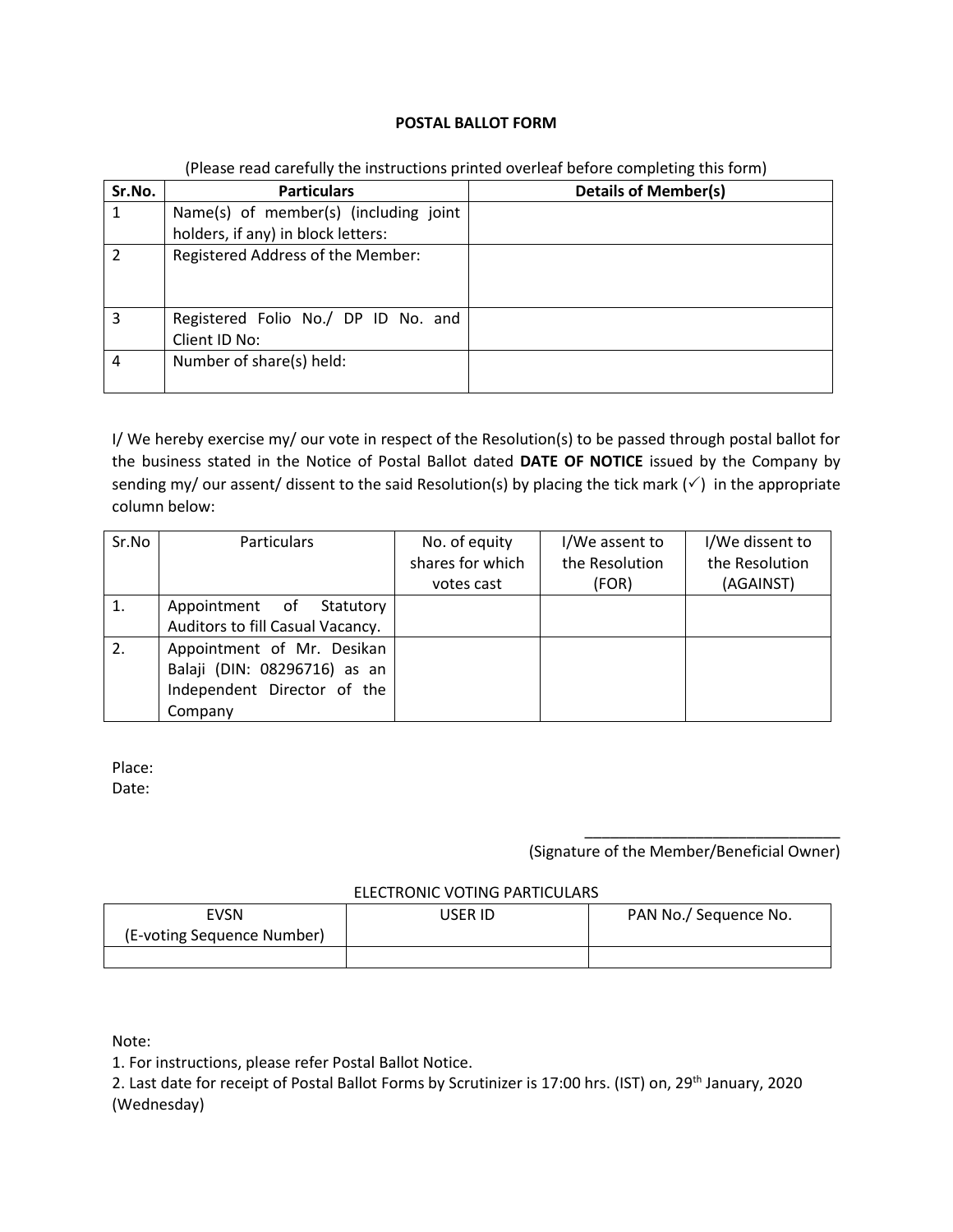## **POSTAL BALLOT FORM**

| Sr.No.        | <b>Particulars</b>                    | <b>Details of Member(s)</b> |
|---------------|---------------------------------------|-----------------------------|
|               | Name(s) of member(s) (including joint |                             |
|               | holders, if any) in block letters:    |                             |
| $\mathcal{P}$ | Registered Address of the Member:     |                             |
|               |                                       |                             |
|               |                                       |                             |
| 3             | Registered Folio No./ DP ID No. and   |                             |
|               | Client ID No:                         |                             |
| 4             | Number of share(s) held:              |                             |
|               |                                       |                             |

#### (Please read carefully the instructions printed overleaf before completing this form)

I/ We hereby exercise my/ our vote in respect of the Resolution(s) to be passed through postal ballot for the business stated in the Notice of Postal Ballot dated **DATE OF NOTICE** issued by the Company by sending my/ our assent/ dissent to the said Resolution(s) by placing the tick mark ( $\checkmark$ ) in the appropriate column below:

| Sr.No | <b>Particulars</b>               | No. of equity    | I/We assent to | I/We dissent to |
|-------|----------------------------------|------------------|----------------|-----------------|
|       |                                  | shares for which | the Resolution | the Resolution  |
|       |                                  | votes cast       | (FOR)          | (AGAINST)       |
|       | Appointment of Statutory         |                  |                |                 |
|       | Auditors to fill Casual Vacancy. |                  |                |                 |
| 2.    | Appointment of Mr. Desikan       |                  |                |                 |
|       | Balaji (DIN: 08296716) as an     |                  |                |                 |
|       | Independent Director of the      |                  |                |                 |
|       | Company                          |                  |                |                 |

Place: Date:

> \_\_\_\_\_\_\_\_\_\_\_\_\_\_\_\_\_\_\_\_\_\_\_\_\_\_\_\_\_\_ (Signature of the Member/Beneficial Owner)

#### ELECTRONIC VOTING PARTICULARS

| ™SN                        | USER ID. | PAN No./ Sequence No. |  |  |  |
|----------------------------|----------|-----------------------|--|--|--|
| (E-voting Sequence Number) |          |                       |  |  |  |
|                            |          |                       |  |  |  |

Note:

1. For instructions, please refer Postal Ballot Notice.

2. Last date for receipt of Postal Ballot Forms by Scrutinizer is 17:00 hrs. (IST) on, 29<sup>th</sup> January, 2020 (Wednesday)